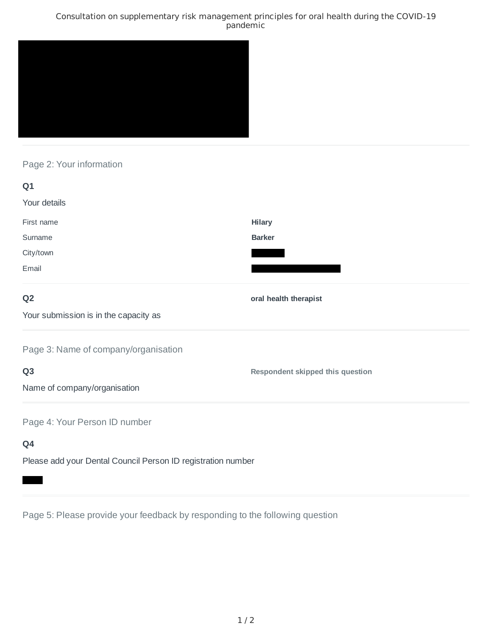### Consultation on supplementary risk management principles for oral health during the COVID-19 pandemic



# Page 2: Your information

| Q1                                                           |                                  |
|--------------------------------------------------------------|----------------------------------|
| Your details                                                 |                                  |
| First name                                                   | <b>Hilary</b>                    |
| Surname                                                      | <b>Barker</b>                    |
| City/town                                                    |                                  |
| Email                                                        |                                  |
| Q <sub>2</sub>                                               | oral health therapist            |
| Your submission is in the capacity as                        |                                  |
| Page 3: Name of company/organisation                         |                                  |
| Q <sub>3</sub>                                               | Respondent skipped this question |
| Name of company/organisation                                 |                                  |
| Page 4: Your Person ID number                                |                                  |
| Q4                                                           |                                  |
| Please add your Dental Council Person ID registration number |                                  |

Page 5: Please provide your feedback by responding to the following question